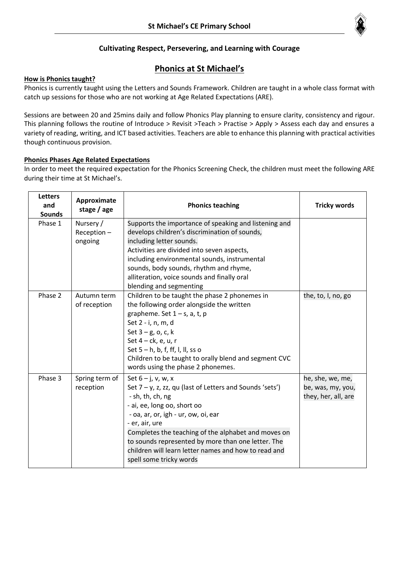

## **Cultivating Respect, Persevering, and Learning with Courage**

# **Phonics at St Michael's**

### **How is Phonics taught?**

Phonics is currently taught using the Letters and Sounds Framework. Children are taught in a whole class format with catch up sessions for those who are not working at Age Related Expectations (ARE).

Sessions are between 20 and 25mins daily and follow Phonics Play planning to ensure clarity, consistency and rigour. This planning follows the routine of Introduce > Revisit >Teach > Practise > Apply > Assess each day and ensures a variety of reading, writing, and ICT based activities. Teachers are able to enhance this planning with practical activities though continuous provision.

### **Phonics Phases Age Related Expectations**

In order to meet the required expectation for the Phonics Screening Check, the children must meet the following ARE during their time at St Michael's.

| <b>Letters</b><br>and<br><b>Sounds</b> | Approximate<br>stage / age            | <b>Phonics teaching</b>                                                                                                                                                                                                                                                                                                                                                                       | <b>Tricky words</b>                                          |
|----------------------------------------|---------------------------------------|-----------------------------------------------------------------------------------------------------------------------------------------------------------------------------------------------------------------------------------------------------------------------------------------------------------------------------------------------------------------------------------------------|--------------------------------------------------------------|
| Phase 1                                | Nursery /<br>$Reception -$<br>ongoing | Supports the importance of speaking and listening and<br>develops children's discrimination of sounds,<br>including letter sounds.<br>Activities are divided into seven aspects,<br>including environmental sounds, instrumental<br>sounds, body sounds, rhythm and rhyme,<br>alliteration, voice sounds and finally oral<br>blending and segmenting                                          |                                                              |
| Phase 2                                | Autumn term<br>of reception           | Children to be taught the phase 2 phonemes in<br>the following order alongside the written<br>grapheme. Set $1 - s$ , a, t, p<br>Set 2 - i, n, m, d<br>Set $3 - g$ , o, c, k<br>Set 4 - ck, e, u, r<br>Set $5 - h$ , b, f, ff, l, ll, ss o<br>Children to be taught to orally blend and segment CVC<br>words using the phase 2 phonemes.                                                      | the, to, I, no, go                                           |
| Phase 3                                | Spring term of<br>reception           | Set $6 - j$ , v, w, x<br>Set 7 - y, z, zz, qu (last of Letters and Sounds 'sets')<br>- sh, th, ch, ng<br>- ai, ee, long oo, short oo<br>- oa, ar, or, igh - ur, ow, oi, ear<br>- er, air, ure<br>Completes the teaching of the alphabet and moves on<br>to sounds represented by more than one letter. The<br>children will learn letter names and how to read and<br>spell some tricky words | he, she, we, me,<br>be, was, my, you,<br>they, her, all, are |